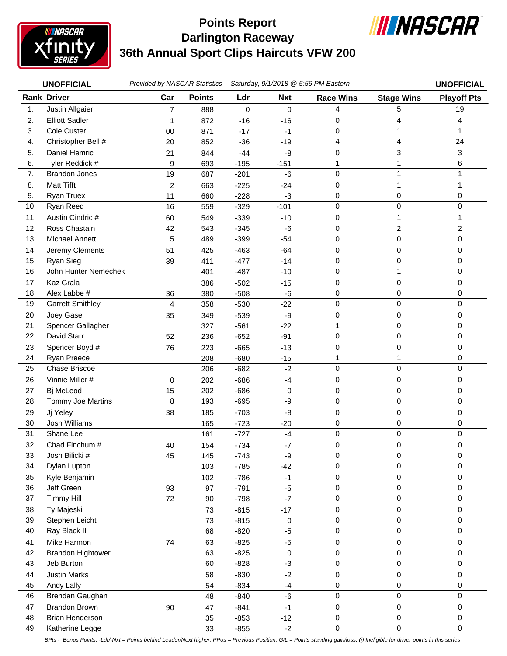

## **Darlington Raceway 36th Annual Sport Clips Haircuts VFW 200 Points Report**



|     | <b>UNOFFICIAL</b>        | Provided by NASCAR Statistics - Saturday, 9/1/2018 @ 5:56 PM Eastern |               |        |            |                  |                   | <b>UNOFFICIAL</b>       |
|-----|--------------------------|----------------------------------------------------------------------|---------------|--------|------------|------------------|-------------------|-------------------------|
|     | <b>Rank Driver</b>       | Car                                                                  | <b>Points</b> | Ldr    | <b>Nxt</b> | <b>Race Wins</b> | <b>Stage Wins</b> | <b>Playoff Pts</b>      |
| 1.  | Justin Allgaier          | $\overline{7}$                                                       | 888           | 0      | 0          | 4                | 5                 | 19                      |
| 2.  | <b>Elliott Sadler</b>    | 1                                                                    | 872           | $-16$  | $-16$      | 0                | 4                 | 4                       |
| 3.  | Cole Custer              | 00                                                                   | 871           | $-17$  | $-1$       | 0                | 1                 | 1                       |
| 4.  | Christopher Bell #       | 20                                                                   | 852           | $-36$  | $-19$      | 4                | 4                 | 24                      |
| 5.  | Daniel Hemric            | 21                                                                   | 844           | $-44$  | -8         | 0                | 3                 | 3                       |
| 6.  | Tyler Reddick #          | 9                                                                    | 693           | $-195$ | $-151$     |                  |                   | 6                       |
| 7.  | <b>Brandon Jones</b>     | 19                                                                   | 687           | $-201$ | $-6$       | $\Omega$         | 1                 | 1                       |
| 8.  | <b>Matt Tifft</b>        | 2                                                                    | 663           | $-225$ | $-24$      | 0                | 1                 | 1                       |
| 9.  | Ryan Truex               | 11                                                                   | 660           | $-228$ | $-3$       | 0                | 0                 | 0                       |
| 10. | Ryan Reed                | 16                                                                   | 559           | $-329$ | $-101$     | 0                | $\mathbf 0$       | $\boldsymbol{0}$        |
| 11. | Austin Cindric #         | 60                                                                   | 549           | $-339$ | $-10$      | 0                | 1                 | 1                       |
| 12. | Ross Chastain            | 42                                                                   | 543           | $-345$ | -6         | 0                | 2                 | $\overline{\mathbf{c}}$ |
| 13. | Michael Annett           | 5                                                                    | 489           | $-399$ | $-54$      | 0                | $\mathsf 0$       | $\mathbf 0$             |
| 14. | Jeremy Clements          | 51                                                                   | 425           | $-463$ | $-64$      | 0                | 0                 | 0                       |
| 15. | Ryan Sieg                | 39                                                                   | 411           | $-477$ | $-14$      | 0                | 0                 | 0                       |
| 16. | John Hunter Nemechek     |                                                                      | 401           | $-487$ | $-10$      | 0                | 1                 | $\mathbf 0$             |
| 17. | Kaz Grala                |                                                                      | 386           | $-502$ | $-15$      | 0                | 0                 | 0                       |
| 18. | Alex Labbe #             | 36                                                                   | 380           | $-508$ | -6         | 0                | 0                 | 0                       |
| 19. | <b>Garrett Smithley</b>  | $\overline{4}$                                                       | 358           | $-530$ | $-22$      | 0                | 0                 | 0                       |
| 20. | Joey Gase                | 35                                                                   | 349           | $-539$ | -9         | 0                | 0                 | 0                       |
| 21. | Spencer Gallagher        |                                                                      | 327           | $-561$ | $-22$      | 1                | 0                 | 0                       |
| 22. | David Starr              | 52                                                                   | 236           | $-652$ | $-91$      | 0                | $\pmb{0}$         | $\boldsymbol{0}$        |
| 23. | Spencer Boyd #           | 76                                                                   | 223           | $-665$ | $-13$      | 0                | 0                 | 0                       |
| 24. | Ryan Preece              |                                                                      | 208           | $-680$ | $-15$      | 1                | 1                 | 0                       |
| 25. | Chase Briscoe            |                                                                      | 206           | $-682$ | $-2$       | $\mathbf 0$      | 0                 | 0                       |
| 26. | Vinnie Miller #          | 0                                                                    | 202           | $-686$ | $-4$       | 0                | 0                 | 0                       |
| 27. | Bj McLeod                | 15                                                                   | 202           | $-686$ | 0          | 0                | 0                 | 0                       |
| 28. | Tommy Joe Martins        | 8                                                                    | 193           | $-695$ | $-9$       | 0                | 0                 | 0                       |
| 29. | Jj Yeley                 | 38                                                                   | 185           | $-703$ | -8         | 0                | 0                 | 0                       |
| 30. | Josh Williams            |                                                                      | 165           | $-723$ | $-20$      | 0                | 0                 | 0                       |
| 31. | Shane Lee                |                                                                      | 161           | $-727$ | $-4$       | 0                | 0                 | $\pmb{0}$               |
| 32. | Chad Finchum #           | 40                                                                   | 154           | $-734$ | $-7$       | 0                | 0                 | 0                       |
| 33. | Josh Bilicki #           | 45                                                                   | 145           | $-743$ | $-9$       | $\,0\,$          | 0                 | 0                       |
| 34. | Dylan Lupton             |                                                                      | 103           | $-785$ | $-42$      | 0                | $\pmb{0}$         | $\pmb{0}$               |
| 35. | Kyle Benjamin            |                                                                      | 102           | $-786$ | $-1$       | 0                | 0                 | 0                       |
| 36. | Jeff Green               | 93                                                                   | 97            | $-791$ | $-5$       | 0                | 0                 | 0                       |
| 37. | <b>Timmy Hill</b>        | 72                                                                   | 90            | $-798$ | $-7$       | 0                | $\pmb{0}$         | $\pmb{0}$               |
| 38. | Ty Majeski               |                                                                      | 73            | $-815$ | $-17$      | 0                | 0                 | 0                       |
| 39. | Stephen Leicht           |                                                                      | 73            | $-815$ | 0          | 0                | 0                 | 0                       |
| 40. | Ray Black II             |                                                                      | 68            | $-820$ | $-5$       | 0                | 0                 | 0                       |
| 41. | Mike Harmon              | 74                                                                   | 63            | $-825$ | $-5$       | 0                | 0                 | 0                       |
| 42. | <b>Brandon Hightower</b> |                                                                      | 63            | $-825$ | 0          | 0                | 0                 | 0                       |
| 43. | Jeb Burton               |                                                                      | 60            | $-828$ | $-3$       | 0                | 0                 | 0                       |
| 44. | <b>Justin Marks</b>      |                                                                      | 58            | $-830$ | $-2$       | 0                | 0                 | 0                       |
| 45. | Andy Lally               |                                                                      | 54            | $-834$ | $-4$       | 0                | 0                 | 0                       |
| 46. | Brendan Gaughan          |                                                                      | 48            | $-840$ | $-6$       | $\mathbf 0$      | 0                 | 0                       |
| 47. | Brandon Brown            | 90                                                                   | 47            | $-841$ | $-1$       | 0                | 0                 | 0                       |
| 48. | <b>Brian Henderson</b>   |                                                                      | 35            | $-853$ | $-12$      | 0                | 0                 | 0                       |
| 49. | Katherine Legge          |                                                                      | 33            | $-855$ | $-2$       | 0                | $\pmb{0}$         | $\pmb{0}$               |

*BPts - Bonus Points, -Ldr/-Nxt = Points behind Leader/Next higher, PPos = Previous Position, G/L = Points standing gain/loss, (i) Ineligible for driver points in this series*